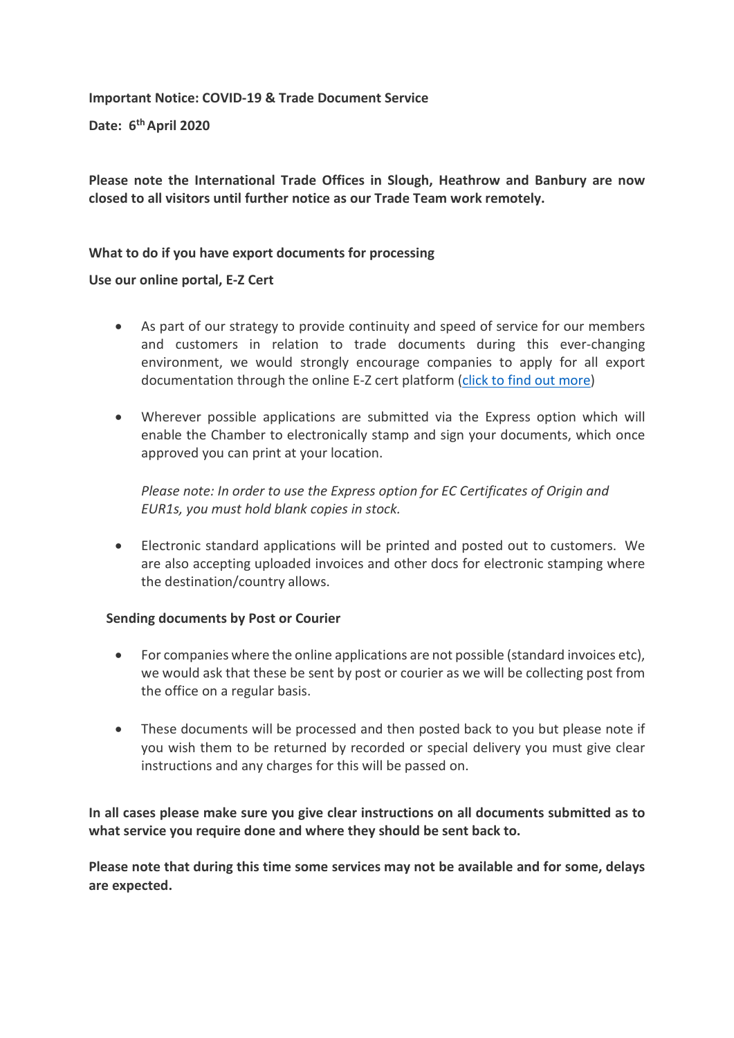**Important Notice: COVID-19 & Trade Document Service**

**Date: 6th April 2020**

**Please note the International Trade Offices in Slough, Heathrow and Banbury are now closed to all visitors until further notice as our Trade Team work remotely.**

## **What to do if you have export documents for processing**

## **Use our online portal, E-Z Cert**

- As part of our strategy to provide continuity and speed of service for our members and customers in relation to trade documents during this ever-changing environment, we would strongly encourage companies to apply for all export documentation through the online E-Z cert platform (click to [find out more\)](https://www.thamesvalleychamber.co.uk/international-trade/export-documents-online/)
- Wherever possible applications are submitted via the Express option which will enable the Chamber to electronically stamp and sign your documents, which once approved you can print at your location.

*Please note: In order to use the Express option for EC Certificates of Origin and EUR1s, you must hold blank copies in stock.* 

• Electronic standard applications will be printed and posted out to customers. We are also accepting uploaded invoices and other docs for electronic stamping where the destination/country allows.

## **Sending documents by Post or Courier**

- For companies where the online applications are not possible (standard invoices etc), we would ask that these be sent by post or courier as we will be collecting post from the office on a regular basis.
- These documents will be processed and then posted back to you but please note if you wish them to be returned by recorded or special delivery you must give clear instructions and any charges for this will be passed on.

**In all cases please make sure you give clear instructions on all documents submitted as to what service you require done and where they should be sent back to.**

**Please note that during this time some services may not be available and for some, delays are expected.**